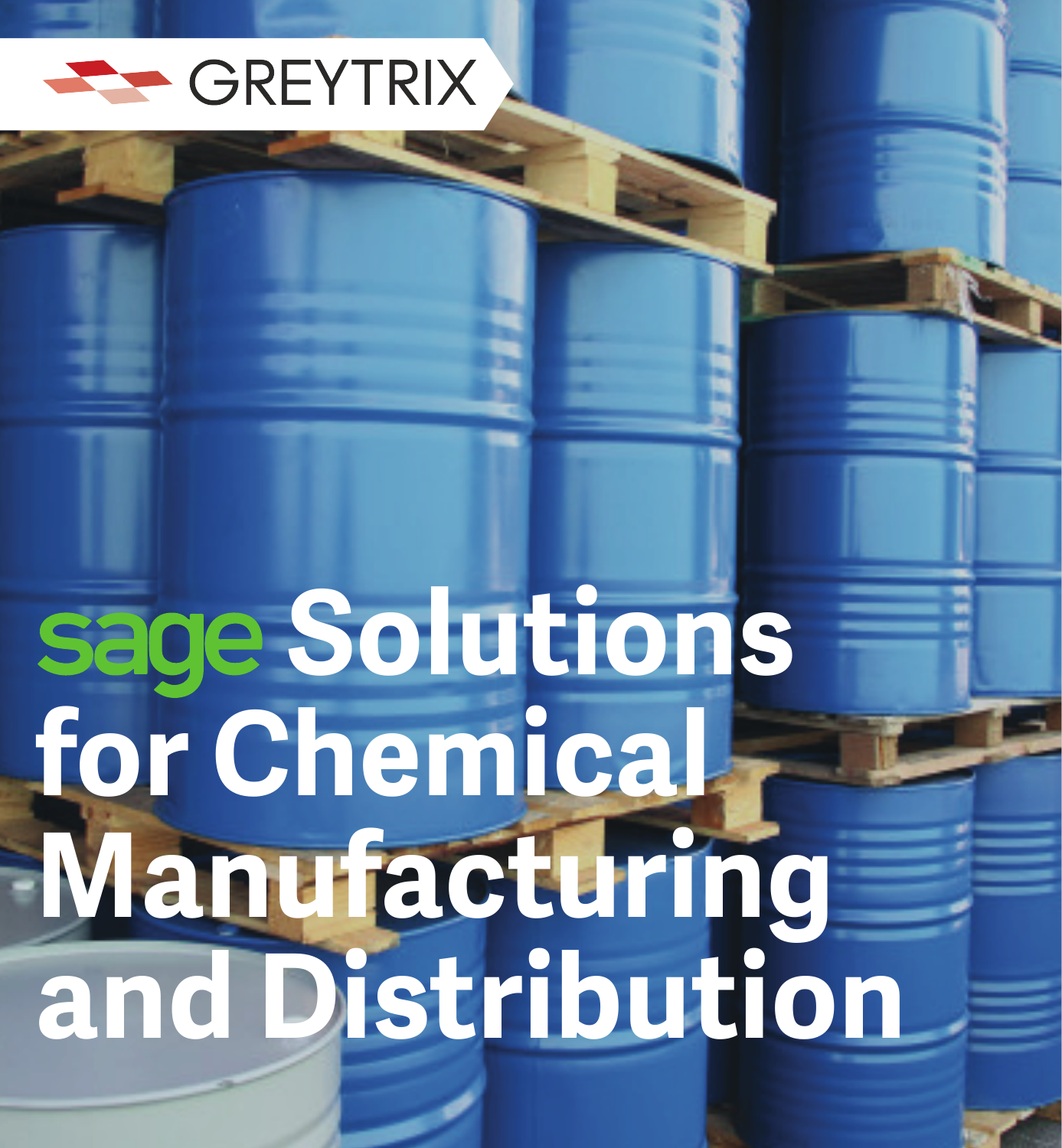

## **Solutions for Chemical Manufacturing and Distribution**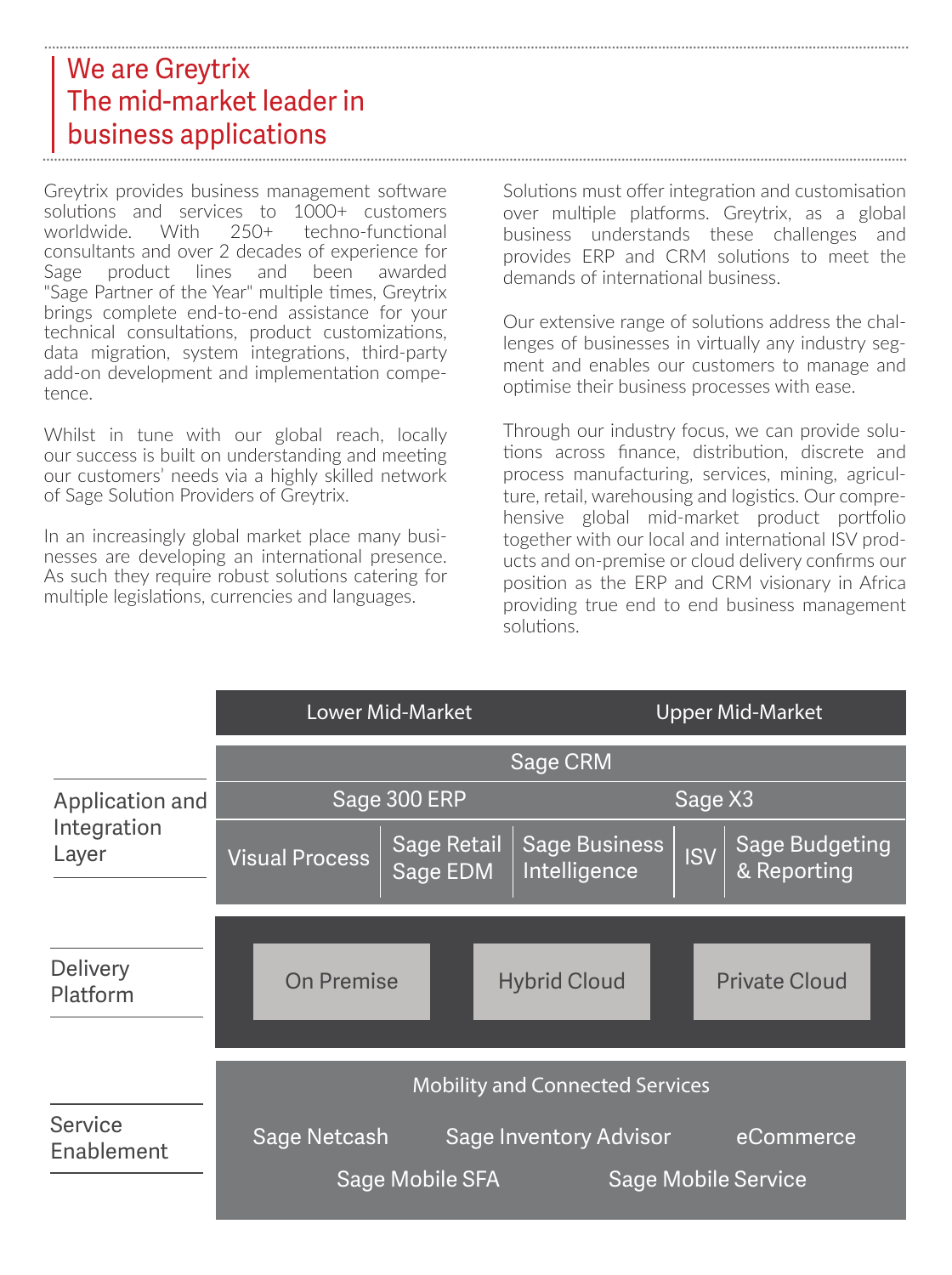## We are Greytrix The mid-market leader in business applications ................................................................................................................................................................................................................................ ................................................................................................................................................................................................................................

Greytrix provides business management software solutions and services to 1000+ customers<br>worldwide. With 250+ techno-functional worldwide. With 250+ techno-functional consultants and over 2 decades of experience for Sage product lines and been awarded "Sage Partner of the Year" multiple times, Greytrix brings complete end-to-end assistance for your technical consultations, product customizations, data migration, system integrations, third-party add-on development and implementation competence.

Whilst in tune with our global reach, locally our success is built on understanding and meeting our customers' needs via a highly skilled network of Sage Solution Providers of Greytrix.

In an increasingly global market place many businesses are developing an international presence. As such they require robust solutions catering for multiple legislations, currencies and languages.

Solutions must offer integration and customisation over multiple platforms. Greytrix, as a global business understands these challenges and provides ERP and CRM solutions to meet the demands of international business.

Our extensive range of solutions address the challenges of businesses in virtually any industry segment and enables our customers to manage and optimise their business processes with ease.

Through our industry focus, we can provide solutions across finance, distribution, discrete and process manufacturing, services, mining, agriculture, retail, warehousing and logistics. Our comprehensive global mid-market product portfolio together with our local and international ISV products and on-premise or cloud delivery confirms our position as the ERP and CRM visionary in Africa providing true end to end business management solutions.

|                                         | <b>Lower Mid-Market</b>                                 | <b>Upper Mid-Market</b>                                                                    |
|-----------------------------------------|---------------------------------------------------------|--------------------------------------------------------------------------------------------|
|                                         |                                                         | Sage CRM                                                                                   |
| Application and<br>Integration<br>Layer | Sage 300 ERP                                            | Sage X3                                                                                    |
|                                         | <b>Sage Retail</b><br><b>Visual Process</b><br>Sage EDM | <b>Sage Business</b><br><b>Sage Budgeting</b><br><b>ISV</b><br>Intelligence<br>& Reporting |
| Delivery<br>Platform                    | <b>On Premise</b>                                       | <b>Hybrid Cloud</b><br><b>Private Cloud</b>                                                |
|                                         | <b>Mobility and Connected Services</b>                  |                                                                                            |
| Service<br>Enablement                   | <b>Sage Netcash</b>                                     | <b>Sage Inventory Advisor</b><br>eCommerce                                                 |
|                                         | Sage Mobile SFA                                         | <b>Sage Mobile Service</b>                                                                 |